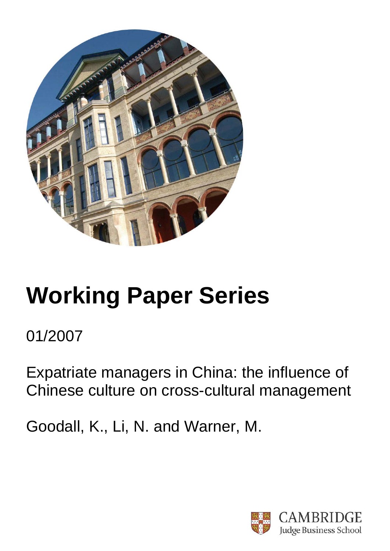

# **Working Paper Series**

01/2007

Expatriate managers in China: the influence of Chinese culture on cross-cultural management

Goodall, K., Li, N. and Warner, M.

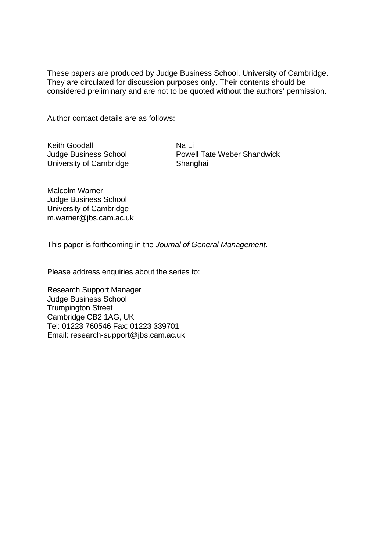These papers are produced by Judge Business School, University of Cambridge. They are circulated for discussion purposes only. Their contents should be considered preliminary and are not to be quoted without the authors' permission.

Author contact details are as follows:

Keith Goodall Judge Business School University of Cambridge

Na Li Powell Tate Weber Shandwick Shanghai

Malcolm Warner Judge Business School University of Cambridge m.warner@jbs.cam.ac.uk

This paper is forthcoming in the *Journal of General Management*.

Please address enquiries about the series to:

Research Support Manager Judge Business School Trumpington Street Cambridge CB2 1AG, UK Tel: 01223 760546 Fax: 01223 339701 Email: research-support@jbs.cam.ac.uk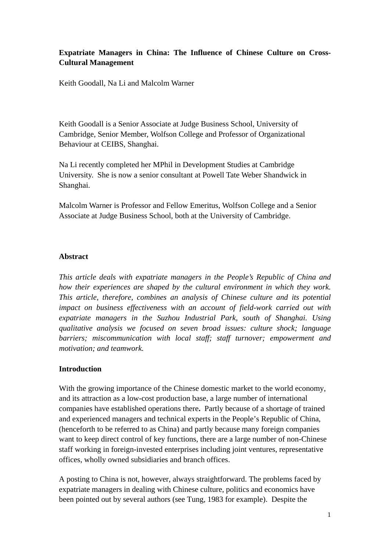# **Expatriate Managers in China: The Influence of Chinese Culture on Cross-Cultural Management**

Keith Goodall, Na Li and Malcolm Warner

Keith Goodall is a Senior Associate at Judge Business School, University of Cambridge, Senior Member, Wolfson College and Professor of Organizational Behaviour at CEIBS, Shanghai.

Na Li recently completed her MPhil in Development Studies at Cambridge University. She is now a senior consultant at Powell Tate Weber Shandwick in Shanghai.

Malcolm Warner is Professor and Fellow Emeritus, Wolfson College and a Senior Associate at Judge Business School, both at the University of Cambridge.

## **Abstract**

*This article deals with expatriate managers in the People's Republic of China and how their experiences are shaped by the cultural environment in which they work. This article, therefore, combines an analysis of Chinese culture and its potential impact on business effectiveness with an account of field-work carried out with expatriate managers in the Suzhou Industrial Park, south of Shanghai. Using qualitative analysis we focused on seven broad issues: culture shock; language barriers; miscommunication with local staff; staff turnover; empowerment and motivation; and teamwork.* 

## **Introduction**

With the growing importance of the Chinese domestic market to the world economy, and its attraction as a low-cost production base, a large number of international companies have established operations there**.** Partly because of a shortage of trained and experienced managers and technical experts in the People's Republic of China, (henceforth to be referred to as China) and partly because many foreign companies want to keep direct control of key functions, there are a large number of non-Chinese staff working in foreign-invested enterprises including joint ventures, representative offices, wholly owned subsidiaries and branch offices.

A posting to China is not, however, always straightforward. The problems faced by expatriate managers in dealing with Chinese culture, politics and economics have been pointed out by several authors (see Tung, 1983 for example). Despite the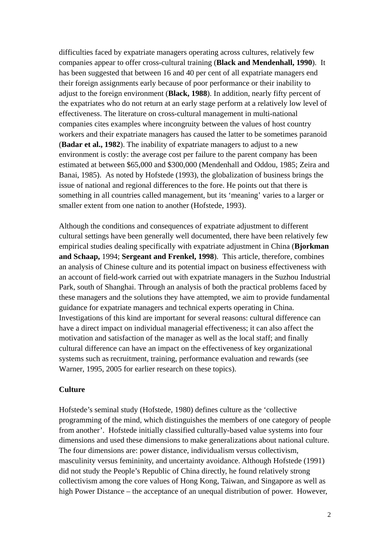difficulties faced by expatriate managers operating across cultures, relatively few companies appear to offer cross-cultural training (**Black and Mendenhall, 1990**). It has been suggested that between 16 and 40 per cent of all expatriate managers end their foreign assignments early because of poor performance or their inability to adjust to the foreign environment (**Black, 1988**). In addition, nearly fifty percent of the expatriates who do not return at an early stage perform at a relatively low level of effectiveness. The literature on cross-cultural management in multi-national companies cites examples where incongruity between the values of host country workers and their expatriate managers has caused the latter to be sometimes paranoid (**Badar et al., 1982**). The inability of expatriate managers to adjust to a new environment is costly: the average cost per failure to the parent company has been estimated at between \$65,000 and \$300,000 (Mendenhall and Oddou, 1985; Zeira and Banai, 1985). As noted by Hofstede (1993), the globalization of business brings the issue of national and regional differences to the fore. He points out that there is something in all countries called management, but its 'meaning' varies to a larger or smaller extent from one nation to another (Hofstede, 1993).

Although the conditions and consequences of expatriate adjustment to different cultural settings have been generally well documented, there have been relatively few empirical studies dealing specifically with expatriate adjustment in China (**Bjorkman and Schaap,** 1994; **Sergeant and Frenkel, 1998**). This article, therefore, combines an analysis of Chinese culture and its potential impact on business effectiveness with an account of field-work carried out with expatriate managers in the Suzhou Industrial Park, south of Shanghai. Through an analysis of both the practical problems faced by these managers and the solutions they have attempted, we aim to provide fundamental guidance for expatriate managers and technical experts operating in China. Investigations of this kind are important for several reasons: cultural difference can have a direct impact on individual managerial effectiveness; it can also affect the motivation and satisfaction of the manager as well as the local staff; and finally cultural difference can have an impact on the effectiveness of key organizational systems such as recruitment, training, performance evaluation and rewards (see Warner, 1995, 2005 for earlier research on these topics).

#### **Culture**

Hofstede's seminal study (Hofstede, 1980) defines culture as the 'collective programming of the mind, which distinguishes the members of one category of people from another'. Hofstede initially classified culturally-based value systems into four dimensions and used these dimensions to make generalizations about national culture. The four dimensions are: power distance, individualism versus collectivism, masculinity versus femininity, and uncertainty avoidance. Although Hofstede (1991) did not study the People's Republic of China directly, he found relatively strong collectivism among the core values of Hong Kong, Taiwan, and Singapore as well as high Power Distance – the acceptance of an unequal distribution of power. However,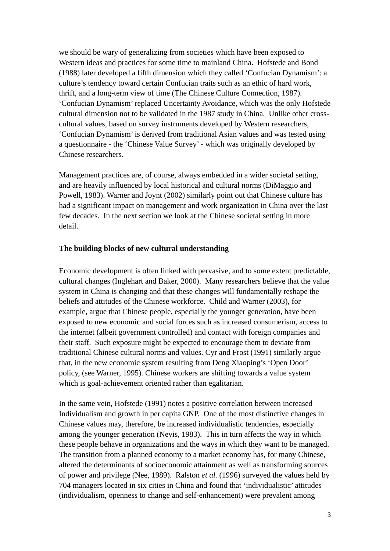we should be wary of generalizing from societies which have been exposed to Western ideas and practices for some time to mainland China. Hofstede and Bond (1988) later developed a fifth dimension which they called 'Confucian Dynamism': a culture's tendency toward certain Confucian traits such as an ethic of hard work, thrift, and a long-term view of time (The Chinese Culture Connection, 1987). 'Confucian Dynamism' replaced Uncertainty Avoidance, which was the only Hofstede cultural dimension not to be validated in the 1987 study in China. Unlike other crosscultural values, based on survey instruments developed by Western researchers, 'Confucian Dynamism' is derived from traditional Asian values and was tested using a questionnaire - the 'Chinese Value Survey' - which was originally developed by Chinese researchers.

Management practices are, of course, always embedded in a wider societal setting, and are heavily influenced by local historical and cultural norms (DiMaggio and Powell, 1983). Warner and Joynt (2002) similarly point out that Chinese culture has had a significant impact on management and work organization in China over the last few decades. In the next section we look at the Chinese societal setting in more detail.

#### **The building blocks of new cultural understanding**

Economic development is often linked with pervasive, and to some extent predictable, cultural changes (Inglehart and Baker, 2000). Many researchers believe that the value system in China is changing and that these changes will fundamentally reshape the beliefs and attitudes of the Chinese workforce. Child and Warner (2003), for example, argue that Chinese people, especially the younger generation, have been exposed to new economic and social forces such as increased consumerism, access to the internet (albeit government controlled) and contact with foreign companies and their staff. Such exposure might be expected to encourage them to deviate from traditional Chinese cultural norms and values. Cyr and Frost (1991) similarly argue that, in the new economic system resulting from Deng Xiaoping's 'Open Door' policy, (see Warner, 1995). Chinese workers are shifting towards a value system which is goal-achievement oriented rather than egalitarian.

In the same vein, Hofstede (1991) notes a positive correlation between increased Individualism and growth in per capita GNP. One of the most distinctive changes in Chinese values may, therefore, be increased individualistic tendencies, especially among the younger generation (Nevis, 1983). This in turn affects the way in which these people behave in organizations and the ways in which they want to be managed. The transition from a planned economy to a market economy has, for many Chinese, altered the determinants of socioeconomic attainment as well as transforming sources of power and privilege (Nee, 1989). Ralston *et al.* (1996) surveyed the values held by 704 managers located in six cities in China and found that 'individualistic' attitudes (individualism, openness to change and self-enhancement) were prevalent among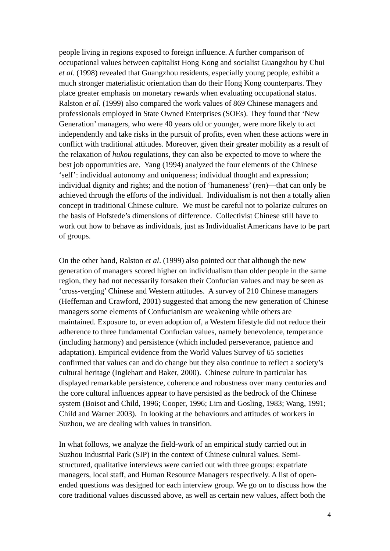people living in regions exposed to foreign influence. A further comparison of occupational values between capitalist Hong Kong and socialist Guangzhou by Chui *et al*. (1998) revealed that Guangzhou residents, especially young people, exhibit a much stronger materialistic orientation than do their Hong Kong counterparts. They place greater emphasis on monetary rewards when evaluating occupational status. Ralston *et al.* (1999) also compared the work values of 869 Chinese managers and professionals employed in State Owned Enterprises (SOEs). They found that 'New Generation' managers, who were 40 years old or younger, were more likely to act independently and take risks in the pursuit of profits, even when these actions were in conflict with traditional attitudes. Moreover, given their greater mobility as a result of the relaxation of *hukou* regulations, they can also be expected to move to where the best job opportunities are. Yang (1994) analyzed the four elements of the Chinese 'self': individual autonomy and uniqueness; individual thought and expression; individual dignity and rights; and the notion of 'humaneness' (*ren*)—that can only be achieved through the efforts of the individual. Individualism is not then a totally alien concept in traditional Chinese culture. We must be careful not to polarize cultures on the basis of Hofstede's dimensions of difference. Collectivist Chinese still have to work out how to behave as individuals, just as Individualist Americans have to be part of groups.

On the other hand, Ralston *et al*. (1999) also pointed out that although the new generation of managers scored higher on individualism than older people in the same region, they had not necessarily forsaken their Confucian values and may be seen as 'cross-verging' Chinese and Western attitudes. A survey of 210 Chinese managers (Heffernan and Crawford, 2001) suggested that among the new generation of Chinese managers some elements of Confucianism are weakening while others are maintained. Exposure to, or even adoption of, a Western lifestyle did not reduce their adherence to three fundamental Confucian values, namely benevolence, temperance (including harmony) and persistence (which included perseverance, patience and adaptation). Empirical evidence from the World Values Survey of 65 societies confirmed that values can and do change but they also continue to reflect a society's cultural heritage (Inglehart and Baker, 2000). Chinese culture in particular has displayed remarkable persistence, coherence and robustness over many centuries and the core cultural influences appear to have persisted as the bedrock of the Chinese system (Boisot and Child, 1996; Cooper, 1996; Lim and Gosling, 1983; Wang, 1991; Child and Warner 2003). In looking at the behaviours and attitudes of workers in Suzhou, we are dealing with values in transition.

In what follows, we analyze the field-work of an empirical study carried out in Suzhou Industrial Park (SIP) in the context of Chinese cultural values. Semistructured, qualitative interviews were carried out with three groups: expatriate managers, local staff, and Human Resource Managers respectively. A list of openended questions was designed for each interview group. We go on to discuss how the core traditional values discussed above, as well as certain new values, affect both the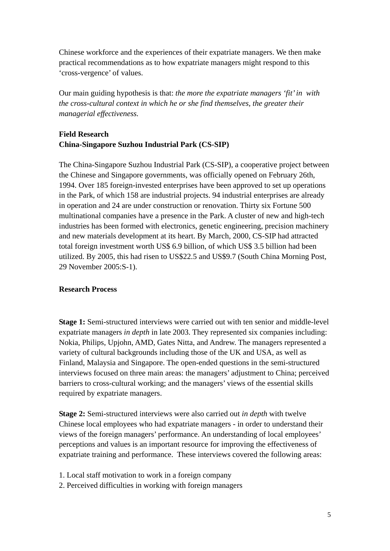Chinese workforce and the experiences of their expatriate managers. We then make practical recommendations as to how expatriate managers might respond to this 'cross-vergence' of values.

Our main guiding hypothesis is that: *the more the expatriate managers 'fit' in with the cross-cultural context in which he or she find themselves, the greater their managerial effectiveness.*

## **Field Research China-Singapore Suzhou Industrial Park (CS-SIP)**

The China-Singapore Suzhou Industrial Park (CS-SIP), a cooperative project between the Chinese and Singapore governments, was officially opened on February 26th, 1994. Over 185 foreign-invested enterprises have been approved to set up operations in the Park, of which 158 are industrial projects. 94 industrial enterprises are already in operation and 24 are under construction or renovation. Thirty six Fortune 500 multinational companies have a presence in the Park. A cluster of new and high-tech industries has been formed with electronics, genetic engineering, precision machinery and new materials development at its heart. By March, 2000, CS-SIP had attracted total foreign investment worth US\$ 6.9 billion, of which US\$ 3.5 billion had been utilized. By 2005, this had risen to US\$22.5 and US\$9.7 (South China Morning Post, 29 November 2005:S-1).

#### **Research Process**

**Stage 1:** Semi-structured interviews were carried out with ten senior and middle-level expatriate managers *in depth* in late 2003. They represented six companies including: Nokia, Philips, Upjohn, AMD, Gates Nitta, and Andrew. The managers represented a variety of cultural backgrounds including those of the UK and USA, as well as Finland, Malaysia and Singapore. The open-ended questions in the semi-structured interviews focused on three main areas: the managers' adjustment to China; perceived barriers to cross-cultural working; and the managers' views of the essential skills required by expatriate managers.

**Stage 2:** Semi-structured interviews were also carried out *in depth* with twelve Chinese local employees who had expatriate managers - in order to understand their views of the foreign managers' performance. An understanding of local employees' perceptions and values is an important resource for improving the effectiveness of expatriate training and performance. These interviews covered the following areas:

- 1. Local staff motivation to work in a foreign company
- 2. Perceived difficulties in working with foreign managers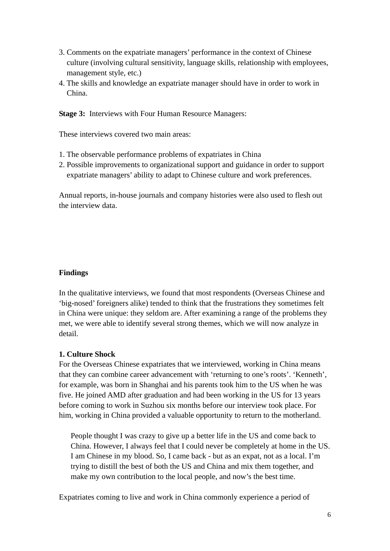- 3. Comments on the expatriate managers' performance in the context of Chinese culture (involving cultural sensitivity, language skills, relationship with employees, management style, etc.)
- 4. The skills and knowledge an expatriate manager should have in order to work in China.

**Stage 3:** Interviews with Four Human Resource Managers:

These interviews covered two main areas:

- 1. The observable performance problems of expatriates in China
- 2. Possible improvements to organizational support and guidance in order to support expatriate managers' ability to adapt to Chinese culture and work preferences.

Annual reports, in-house journals and company histories were also used to flesh out the interview data.

## **Findings**

In the qualitative interviews, we found that most respondents (Overseas Chinese and 'big-nosed' foreigners alike) tended to think that the frustrations they sometimes felt in China were unique: they seldom are. After examining a range of the problems they met, we were able to identify several strong themes, which we will now analyze in detail.

## **1. Culture Shock**

For the Overseas Chinese expatriates that we interviewed, working in China means that they can combine career advancement with 'returning to one's roots'. 'Kenneth', for example, was born in Shanghai and his parents took him to the US when he was five. He joined AMD after graduation and had been working in the US for 13 years before coming to work in Suzhou six months before our interview took place. For him, working in China provided a valuable opportunity to return to the motherland.

 People thought I was crazy to give up a better life in the US and come back to China. However, I always feel that I could never be completely at home in the US. I am Chinese in my blood. So, I came back - but as an expat, not as a local. I'm trying to distill the best of both the US and China and mix them together, and make my own contribution to the local people, and now's the best time.

Expatriates coming to live and work in China commonly experience a period of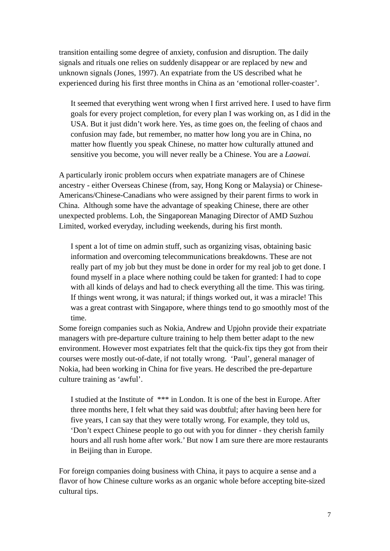transition entailing some degree of anxiety, confusion and disruption. The daily signals and rituals one relies on suddenly disappear or are replaced by new and unknown signals (Jones, 1997). An expatriate from the US described what he experienced during his first three months in China as an 'emotional roller-coaster'.

 It seemed that everything went wrong when I first arrived here. I used to have firm goals for every project completion, for every plan I was working on, as I did in the USA. But it just didn't work here. Yes, as time goes on, the feeling of chaos and confusion may fade, but remember, no matter how long you are in China, no matter how fluently you speak Chinese, no matter how culturally attuned and sensitive you become, you will never really be a Chinese. You are a *Laowai.*

A particularly ironic problem occurs when expatriate managers are of Chinese ancestry - either Overseas Chinese (from, say, Hong Kong or Malaysia) or Chinese-Americans/Chinese-Canadians who were assigned by their parent firms to work in China. Although some have the advantage of speaking Chinese, there are other unexpected problems. Loh, the Singaporean Managing Director of AMD Suzhou Limited, worked everyday, including weekends, during his first month.

I spent a lot of time on admin stuff, such as organizing visas, obtaining basic information and overcoming telecommunications breakdowns. These are not really part of my job but they must be done in order for my real job to get done. I found myself in a place where nothing could be taken for granted: I had to cope with all kinds of delays and had to check everything all the time. This was tiring. If things went wrong, it was natural; if things worked out, it was a miracle! This was a great contrast with Singapore, where things tend to go smoothly most of the time.

Some foreign companies such as Nokia, Andrew and Upjohn provide their expatriate managers with pre-departure culture training to help them better adapt to the new environment. However most expatriates felt that the quick-fix tips they got from their courses were mostly out-of-date, if not totally wrong. 'Paul', general manager of Nokia, had been working in China for five years. He described the pre-departure culture training as 'awful'.

I studied at the Institute of \*\*\* in London. It is one of the best in Europe. After three months here, I felt what they said was doubtful; after having been here for five years, I can say that they were totally wrong. For example, they told us, 'Don't expect Chinese people to go out with you for dinner - they cherish family hours and all rush home after work.' But now I am sure there are more restaurants in Beijing than in Europe.

For foreign companies doing business with China, it pays to acquire a sense and a flavor of how Chinese culture works as an organic whole before accepting bite-sized cultural tips.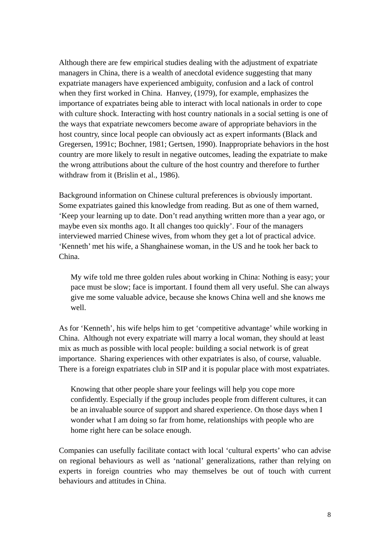Although there are few empirical studies dealing with the adjustment of expatriate managers in China, there is a wealth of anecdotal evidence suggesting that many expatriate managers have experienced ambiguity, confusion and a lack of control when they first worked in China. Hanvey, (1979), for example, emphasizes the importance of expatriates being able to interact with local nationals in order to cope with culture shock. Interacting with host country nationals in a social setting is one of the ways that expatriate newcomers become aware of appropriate behaviors in the host country, since local people can obviously act as expert informants (Black and Gregersen, 1991c; Bochner, 1981; Gertsen, 1990). Inappropriate behaviors in the host country are more likely to result in negative outcomes, leading the expatriate to make the wrong attributions about the culture of the host country and therefore to further withdraw from it (Brislin et al., 1986).

Background information on Chinese cultural preferences is obviously important. Some expatriates gained this knowledge from reading. But as one of them warned, 'Keep your learning up to date. Don't read anything written more than a year ago, or maybe even six months ago. It all changes too quickly'. Four of the managers interviewed married Chinese wives, from whom they get a lot of practical advice. 'Kenneth' met his wife, a Shanghainese woman, in the US and he took her back to China.

My wife told me three golden rules about working in China: Nothing is easy; your pace must be slow; face is important. I found them all very useful. She can always give me some valuable advice, because she knows China well and she knows me well.

As for 'Kenneth', his wife helps him to get 'competitive advantage' while working in China. Although not every expatriate will marry a local woman, they should at least mix as much as possible with local people: building a social network is of great importance. Sharing experiences with other expatriates is also, of course, valuable. There is a foreign expatriates club in SIP and it is popular place with most expatriates.

Knowing that other people share your feelings will help you cope more confidently. Especially if the group includes people from different cultures, it can be an invaluable source of support and shared experience. On those days when I wonder what I am doing so far from home, relationships with people who are home right here can be solace enough.

Companies can usefully facilitate contact with local 'cultural experts' who can advise on regional behaviours as well as 'national' generalizations, rather than relying on experts in foreign countries who may themselves be out of touch with current behaviours and attitudes in China.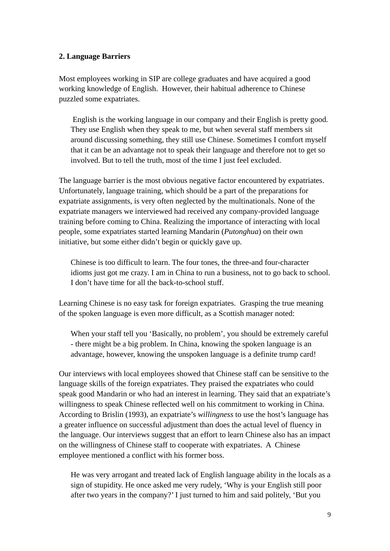#### **2. Language Barriers**

Most employees working in SIP are college graduates and have acquired a good working knowledge of English. However, their habitual adherence to Chinese puzzled some expatriates.

 English is the working language in our company and their English is pretty good. They use English when they speak to me, but when several staff members sit around discussing something, they still use Chinese. Sometimes I comfort myself that it can be an advantage not to speak their language and therefore not to get so involved. But to tell the truth, most of the time I just feel excluded.

The language barrier is the most obvious negative factor encountered by expatriates. Unfortunately, language training, which should be a part of the preparations for expatriate assignments, is very often neglected by the multinationals. None of the expatriate managers we interviewed had received any company-provided language training before coming to China. Realizing the importance of interacting with local people, some expatriates started learning Mandarin (*Putonghua*) on their own initiative, but some either didn't begin or quickly gave up.

Chinese is too difficult to learn. The four tones, the three-and four-character idioms just got me crazy. I am in China to run a business, not to go back to school. I don't have time for all the back-to-school stuff.

Learning Chinese is no easy task for foreign expatriates. Grasping the true meaning of the spoken language is even more difficult, as a Scottish manager noted:

When your staff tell you 'Basically, no problem', you should be extremely careful - there might be a big problem. In China, knowing the spoken language is an advantage, however, knowing the unspoken language is a definite trump card!

Our interviews with local employees showed that Chinese staff can be sensitive to the language skills of the foreign expatriates. They praised the expatriates who could speak good Mandarin or who had an interest in learning. They said that an expatriate's willingness to speak Chinese reflected well on his commitment to working in China. According to Brislin (1993), an expatriate's *willingness* to use the host's language has a greater influence on successful adjustment than does the actual level of fluency in the language. Our interviews suggest that an effort to learn Chinese also has an impact on the willingness of Chinese staff to cooperate with expatriates. A Chinese employee mentioned a conflict with his former boss.

He was very arrogant and treated lack of English language ability in the locals as a sign of stupidity. He once asked me very rudely, 'Why is your English still poor after two years in the company?' I just turned to him and said politely, 'But you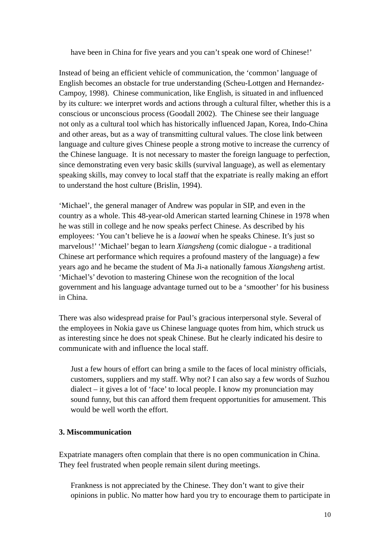have been in China for five years and you can't speak one word of Chinese!'

Instead of being an efficient vehicle of communication, the 'common' language of English becomes an obstacle for true understanding (Scheu-Lottgen and Hernandez-Campoy, 1998). Chinese communication, like English, is situated in and influenced by its culture: we interpret words and actions through a cultural filter, whether this is a conscious or unconscious process (Goodall 2002). The Chinese see their language not only as a cultural tool which has historically influenced Japan, Korea, Indo-China and other areas, but as a way of transmitting cultural values. The close link between language and culture gives Chinese people a strong motive to increase the currency of the Chinese language. It is not necessary to master the foreign language to perfection, since demonstrating even very basic skills (survival language), as well as elementary speaking skills, may convey to local staff that the expatriate is really making an effort to understand the host culture (Brislin, 1994).

'Michael', the general manager of Andrew was popular in SIP, and even in the country as a whole. This 48-year-old American started learning Chinese in 1978 when he was still in college and he now speaks perfect Chinese. As described by his employees: 'You can't believe he is a *laowai* when he speaks Chinese. It's just so marvelous!' 'Michael' began to learn *Xiangsheng* (comic dialogue - a traditional Chinese art performance which requires a profound mastery of the language) a few years ago and he became the student of Ma Ji-a nationally famous *Xiangsheng* artist. 'Michael's' devotion to mastering Chinese won the recognition of the local government and his language advantage turned out to be a 'smoother' for his business in China.

There was also widespread praise for Paul's gracious interpersonal style. Several of the employees in Nokia gave us Chinese language quotes from him, which struck us as interesting since he does not speak Chinese. But he clearly indicated his desire to communicate with and influence the local staff.

Just a few hours of effort can bring a smile to the faces of local ministry officials, customers, suppliers and my staff. Why not? I can also say a few words of Suzhou dialect – it gives a lot of 'face' to local people. I know my pronunciation may sound funny, but this can afford them frequent opportunities for amusement. This would be well worth the effort.

## **3. Miscommunication**

Expatriate managers often complain that there is no open communication in China. They feel frustrated when people remain silent during meetings.

Frankness is not appreciated by the Chinese. They don't want to give their opinions in public. No matter how hard you try to encourage them to participate in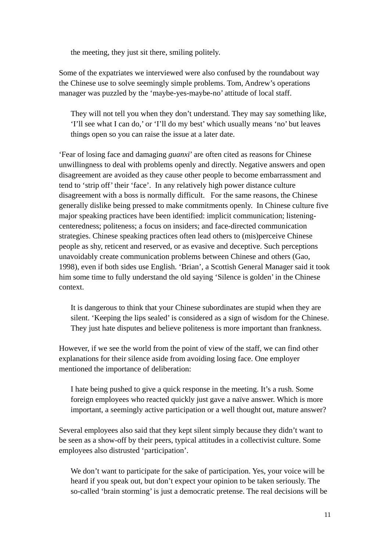the meeting, they just sit there, smiling politely.

Some of the expatriates we interviewed were also confused by the roundabout way the Chinese use to solve seemingly simple problems. Tom, Andrew's operations manager was puzzled by the 'maybe-yes-maybe-no' attitude of local staff.

They will not tell you when they don't understand. They may say something like, 'I'll see what I can do,' or 'I'll do my best' which usually means 'no' but leaves things open so you can raise the issue at a later date.

'Fear of losing face and damaging *guanxi*' are often cited as reasons for Chinese unwillingness to deal with problems openly and directly. Negative answers and open disagreement are avoided as they cause other people to become embarrassment and tend to 'strip off' their 'face'. In any relatively high power distance culture disagreement with a boss is normally difficult. For the same reasons, the Chinese generally dislike being pressed to make commitments openly. In Chinese culture five major speaking practices have been identified: implicit communication; listeningcenteredness; politeness; a focus on insiders; and face-directed communication strategies. Chinese speaking practices often lead others to (mis)perceive Chinese people as shy, reticent and reserved, or as evasive and deceptive. Such perceptions unavoidably create communication problems between Chinese and others (Gao, 1998), even if both sides use English. 'Brian', a Scottish General Manager said it took him some time to fully understand the old saying 'Silence is golden' in the Chinese context.

It is dangerous to think that your Chinese subordinates are stupid when they are silent. 'Keeping the lips sealed' is considered as a sign of wisdom for the Chinese. They just hate disputes and believe politeness is more important than frankness.

However, if we see the world from the point of view of the staff, we can find other explanations for their silence aside from avoiding losing face. One employer mentioned the importance of deliberation:

 I hate being pushed to give a quick response in the meeting. It's a rush. Some foreign employees who reacted quickly just gave a naïve answer. Which is more important, a seemingly active participation or a well thought out, mature answer?

Several employees also said that they kept silent simply because they didn't want to be seen as a show-off by their peers, typical attitudes in a collectivist culture. Some employees also distrusted 'participation'.

We don't want to participate for the sake of participation. Yes, your voice will be heard if you speak out, but don't expect your opinion to be taken seriously. The so-called 'brain storming' is just a democratic pretense. The real decisions will be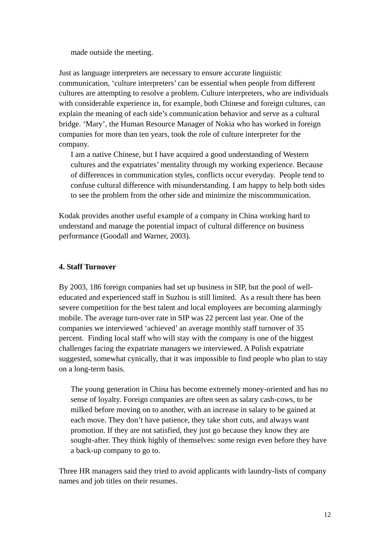made outside the meeting.

Just as language interpreters are necessary to ensure accurate linguistic communication, 'culture interpreters' can be essential when people from different cultures are attempting to resolve a problem. Culture interpreters, who are individuals with considerable experience in, for example, both Chinese and foreign cultures, can explain the meaning of each side's communication behavior and serve as a cultural bridge. 'Mary', the Human Resource Manager of Nokia who has worked in foreign companies for more than ten years, took the role of culture interpreter for the company.

 I am a native Chinese, but I have acquired a good understanding of Western cultures and the expatriates' mentality through my working experience. Because of differences in communication styles, conflicts occur everyday. People tend to confuse cultural difference with misunderstanding. I am happy to help both sides to see the problem from the other side and minimize the miscommunication.

Kodak provides another useful example of a company in China working hard to understand and manage the potential impact of cultural difference on business performance (Goodall and Warner, 2003).

#### **4. Staff Turnover**

By 2003, 186 foreign companies had set up business in SIP, but the pool of welleducated and experienced staff in Suzhou is still limited. As a result there has been severe competition for the best talent and local employees are becoming alarmingly mobile. The average turn-over rate in SIP was 22 percent last year. One of the companies we interviewed 'achieved' an average monthly staff turnover of 35 percent. Finding local staff who will stay with the company is one of the biggest challenges facing the expatriate managers we interviewed. A Polish expatriate suggested, somewhat cynically, that it was impossible to find people who plan to stay on a long-term basis.

 The young generation in China has become extremely money-oriented and has no sense of loyalty. Foreign companies are often seen as salary cash-cows, to be milked before moving on to another, with an increase in salary to be gained at each move. They don't have patience, they take short cuts, and always want promotion. If they are not satisfied, they just go because they know they are sought-after. They think highly of themselves: some resign even before they have a back-up company to go to.

Three HR managers said they tried to avoid applicants with laundry-lists of company names and job titles on their resumes.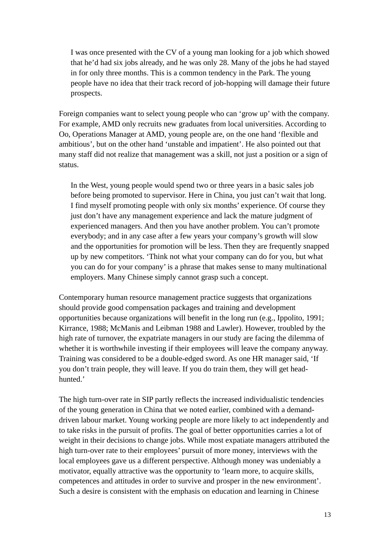I was once presented with the CV of a young man looking for a job which showed that he'd had six jobs already, and he was only 28. Many of the jobs he had stayed in for only three months. This is a common tendency in the Park. The young people have no idea that their track record of job-hopping will damage their future prospects.

Foreign companies want to select young people who can 'grow up' with the company. For example, AMD only recruits new graduates from local universities. According to Oo, Operations Manager at AMD, young people are, on the one hand 'flexible and ambitious', but on the other hand 'unstable and impatient'. He also pointed out that many staff did not realize that management was a skill, not just a position or a sign of status.

In the West, young people would spend two or three years in a basic sales job before being promoted to supervisor. Here in China, you just can't wait that long. I find myself promoting people with only six months' experience. Of course they just don't have any management experience and lack the mature judgment of experienced managers. And then you have another problem. You can't promote everybody; and in any case after a few years your company's growth will slow and the opportunities for promotion will be less. Then they are frequently snapped up by new competitors. 'Think not what your company can do for you, but what you can do for your company' is a phrase that makes sense to many multinational employers. Many Chinese simply cannot grasp such a concept.

Contemporary human resource management practice suggests that organizations should provide good compensation packages and training and development opportunities because organizations will benefit in the long run (e.g., Ippolito, 1991; Kirrance, 1988; McManis and Leibman 1988 and Lawler). However, troubled by the high rate of turnover, the expatriate managers in our study are facing the dilemma of whether it is worthwhile investing if their employees will leave the company anyway. Training was considered to be a double-edged sword. As one HR manager said, 'If you don't train people, they will leave. If you do train them, they will get headhunted.'

The high turn-over rate in SIP partly reflects the increased individualistic tendencies of the young generation in China that we noted earlier, combined with a demanddriven labour market. Young working people are more likely to act independently and to take risks in the pursuit of profits. The goal of better opportunities carries a lot of weight in their decisions to change jobs. While most expatiate managers attributed the high turn-over rate to their employees' pursuit of more money, interviews with the local employees gave us a different perspective. Although money was undeniably a motivator, equally attractive was the opportunity to 'learn more, to acquire skills, competences and attitudes in order to survive and prosper in the new environment'. Such a desire is consistent with the emphasis on education and learning in Chinese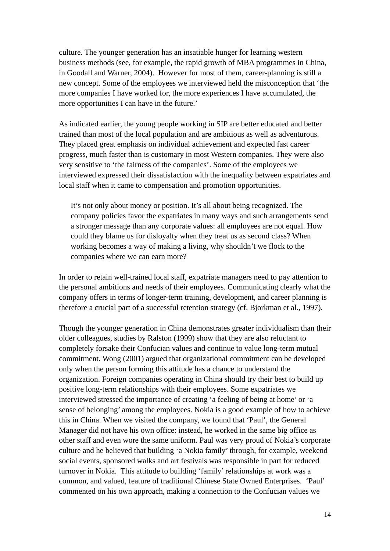culture. The younger generation has an insatiable hunger for learning western business methods (see, for example, the rapid growth of MBA programmes in China, in Goodall and Warner, 2004). However for most of them, career-planning is still a new concept. Some of the employees we interviewed held the misconception that 'the more companies I have worked for, the more experiences I have accumulated, the more opportunities I can have in the future.'

As indicated earlier, the young people working in SIP are better educated and better trained than most of the local population and are ambitious as well as adventurous. They placed great emphasis on individual achievement and expected fast career progress, much faster than is customary in most Western companies. They were also very sensitive to 'the fairness of the companies'. Some of the employees we interviewed expressed their dissatisfaction with the inequality between expatriates and local staff when it came to compensation and promotion opportunities.

 It's not only about money or position. It's all about being recognized. The company policies favor the expatriates in many ways and such arrangements send a stronger message than any corporate values: all employees are not equal. How could they blame us for disloyalty when they treat us as second class? When working becomes a way of making a living, why shouldn't we flock to the companies where we can earn more?

In order to retain well-trained local staff, expatriate managers need to pay attention to the personal ambitions and needs of their employees. Communicating clearly what the company offers in terms of longer-term training, development, and career planning is therefore a crucial part of a successful retention strategy (cf. Bjorkman et al., 1997).

Though the younger generation in China demonstrates greater individualism than their older colleagues, studies by Ralston (1999) show that they are also reluctant to completely forsake their Confucian values and continue to value long-term mutual commitment. Wong (2001) argued that organizational commitment can be developed only when the person forming this attitude has a chance to understand the organization. Foreign companies operating in China should try their best to build up positive long-term relationships with their employees. Some expatriates we interviewed stressed the importance of creating 'a feeling of being at home' or 'a sense of belonging' among the employees. Nokia is a good example of how to achieve this in China. When we visited the company, we found that 'Paul', the General Manager did not have his own office: instead, he worked in the same big office as other staff and even wore the same uniform. Paul was very proud of Nokia's corporate culture and he believed that building 'a Nokia family' through, for example, weekend social events, sponsored walks and art festivals was responsible in part for reduced turnover in Nokia. This attitude to building 'family' relationships at work was a common, and valued, feature of traditional Chinese State Owned Enterprises. 'Paul' commented on his own approach, making a connection to the Confucian values we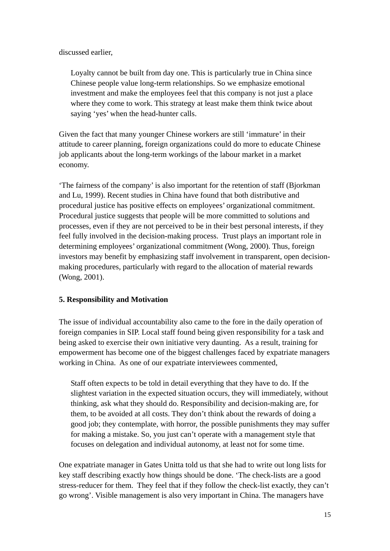discussed earlier,

Loyalty cannot be built from day one. This is particularly true in China since Chinese people value long-term relationships. So we emphasize emotional investment and make the employees feel that this company is not just a place where they come to work. This strategy at least make them think twice about saying 'yes' when the head-hunter calls.

Given the fact that many younger Chinese workers are still 'immature' in their attitude to career planning, foreign organizations could do more to educate Chinese job applicants about the long-term workings of the labour market in a market economy.

'The fairness of the company' is also important for the retention of staff (Bjorkman and Lu, 1999). Recent studies in China have found that both distributive and procedural justice has positive effects on employees' organizational commitment. Procedural justice suggests that people will be more committed to solutions and processes, even if they are not perceived to be in their best personal interests, if they feel fully involved in the decision-making process. Trust plays an important role in determining employees' organizational commitment (Wong, 2000). Thus, foreign investors may benefit by emphasizing staff involvement in transparent, open decisionmaking procedures, particularly with regard to the allocation of material rewards (Wong, 2001).

## **5. Responsibility and Motivation**

The issue of individual accountability also came to the fore in the daily operation of foreign companies in SIP. Local staff found being given responsibility for a task and being asked to exercise their own initiative very daunting. As a result, training for empowerment has become one of the biggest challenges faced by expatriate managers working in China. As one of our expatriate interviewees commented,

Staff often expects to be told in detail everything that they have to do. If the slightest variation in the expected situation occurs, they will immediately, without thinking, ask what they should do. Responsibility and decision-making are, for them, to be avoided at all costs. They don't think about the rewards of doing a good job; they contemplate, with horror, the possible punishments they may suffer for making a mistake. So, you just can't operate with a management style that focuses on delegation and individual autonomy, at least not for some time.

One expatriate manager in Gates Unitta told us that she had to write out long lists for key staff describing exactly how things should be done. 'The check-lists are a good stress-reducer for them. They feel that if they follow the check-list exactly, they can't go wrong'. Visible management is also very important in China. The managers have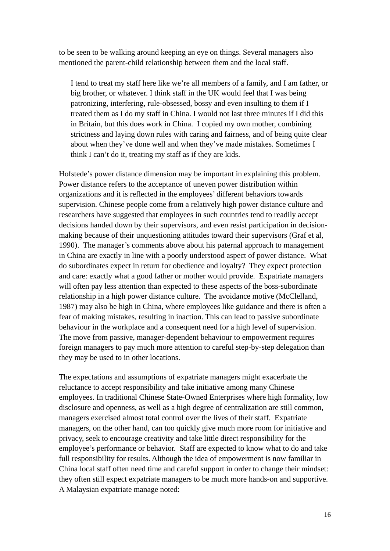to be seen to be walking around keeping an eye on things. Several managers also mentioned the parent-child relationship between them and the local staff.

I tend to treat my staff here like we're all members of a family, and I am father, or big brother, or whatever. I think staff in the UK would feel that I was being patronizing, interfering, rule-obsessed, bossy and even insulting to them if I treated them as I do my staff in China. I would not last three minutes if I did this in Britain, but this does work in China. I copied my own mother, combining strictness and laying down rules with caring and fairness, and of being quite clear about when they've done well and when they've made mistakes. Sometimes I think I can't do it, treating my staff as if they are kids.

Hofstede's power distance dimension may be important in explaining this problem. Power distance refers to the acceptance of uneven power distribution within organizations and it is reflected in the employees' different behaviors towards supervision. Chinese people come from a relatively high power distance culture and researchers have suggested that employees in such countries tend to readily accept decisions handed down by their supervisors, and even resist participation in decisionmaking because of their unquestioning attitudes toward their supervisors (Graf et al, 1990). The manager's comments above about his paternal approach to management in China are exactly in line with a poorly understood aspect of power distance. What do subordinates expect in return for obedience and loyalty? They expect protection and care: exactly what a good father or mother would provide. Expatriate managers will often pay less attention than expected to these aspects of the boss-subordinate relationship in a high power distance culture. The avoidance motive (McClelland, 1987) may also be high in China, where employees like guidance and there is often a fear of making mistakes, resulting in inaction. This can lead to passive subordinate behaviour in the workplace and a consequent need for a high level of supervision. The move from passive, manager-dependent behaviour to empowerment requires foreign managers to pay much more attention to careful step-by-step delegation than they may be used to in other locations.

The expectations and assumptions of expatriate managers might exacerbate the reluctance to accept responsibility and take initiative among many Chinese employees. In traditional Chinese State-Owned Enterprises where high formality, low disclosure and openness, as well as a high degree of centralization are still common, managers exercised almost total control over the lives of their staff. Expatriate managers, on the other hand, can too quickly give much more room for initiative and privacy, seek to encourage creativity and take little direct responsibility for the employee's performance or behavior. Staff are expected to know what to do and take full responsibility for results. Although the idea of empowerment is now familiar in China local staff often need time and careful support in order to change their mindset: they often still expect expatriate managers to be much more hands-on and supportive. A Malaysian expatriate manage noted: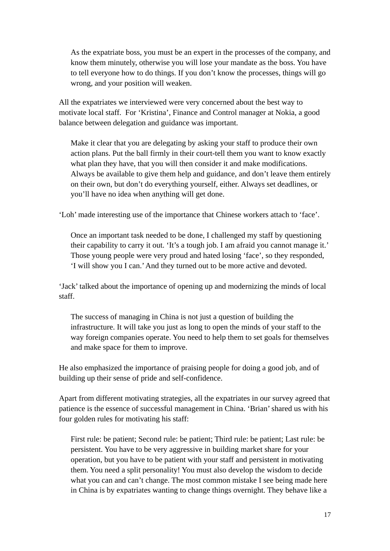As the expatriate boss, you must be an expert in the processes of the company, and know them minutely, otherwise you will lose your mandate as the boss. You have to tell everyone how to do things. If you don't know the processes, things will go wrong, and your position will weaken.

All the expatriates we interviewed were very concerned about the best way to motivate local staff. For 'Kristina', Finance and Control manager at Nokia, a good balance between delegation and guidance was important.

Make it clear that you are delegating by asking your staff to produce their own action plans. Put the ball firmly in their court-tell them you want to know exactly what plan they have, that you will then consider it and make modifications. Always be available to give them help and guidance, and don't leave them entirely on their own, but don't do everything yourself, either. Always set deadlines, or you'll have no idea when anything will get done.

'Loh' made interesting use of the importance that Chinese workers attach to 'face'.

Once an important task needed to be done, I challenged my staff by questioning their capability to carry it out. 'It's a tough job. I am afraid you cannot manage it.' Those young people were very proud and hated losing 'face', so they responded, 'I will show you I can.' And they turned out to be more active and devoted.

'Jack' talked about the importance of opening up and modernizing the minds of local staff.

The success of managing in China is not just a question of building the infrastructure. It will take you just as long to open the minds of your staff to the way foreign companies operate. You need to help them to set goals for themselves and make space for them to improve.

He also emphasized the importance of praising people for doing a good job, and of building up their sense of pride and self-confidence.

Apart from different motivating strategies, all the expatriates in our survey agreed that patience is the essence of successful management in China. 'Brian' shared us with his four golden rules for motivating his staff:

 First rule: be patient; Second rule: be patient; Third rule: be patient; Last rule: be persistent. You have to be very aggressive in building market share for your operation, but you have to be patient with your staff and persistent in motivating them. You need a split personality! You must also develop the wisdom to decide what you can and can't change. The most common mistake I see being made here in China is by expatriates wanting to change things overnight. They behave like a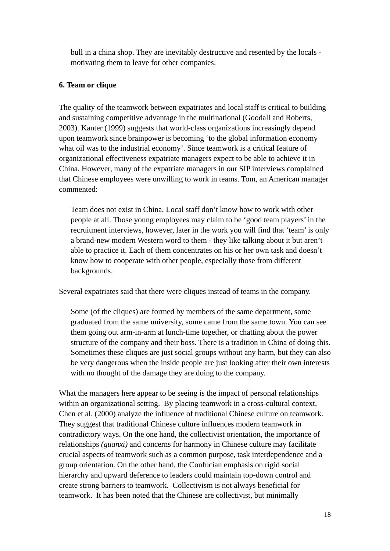bull in a china shop. They are inevitably destructive and resented by the locals motivating them to leave for other companies.

#### **6. Team or clique**

The quality of the teamwork between expatriates and local staff is critical to building and sustaining competitive advantage in the multinational (Goodall and Roberts, 2003). Kanter (1999) suggests that world-class organizations increasingly depend upon teamwork since brainpower is becoming 'to the global information economy what oil was to the industrial economy'. Since teamwork is a critical feature of organizational effectiveness expatriate managers expect to be able to achieve it in China. However, many of the expatriate managers in our SIP interviews complained that Chinese employees were unwilling to work in teams. Tom, an American manager commented:

Team does not exist in China. Local staff don't know how to work with other people at all. Those young employees may claim to be 'good team players' in the recruitment interviews, however, later in the work you will find that 'team' is only a brand-new modern Western word to them - they like talking about it but aren't able to practice it. Each of them concentrates on his or her own task and doesn't know how to cooperate with other people, especially those from different backgrounds.

Several expatriates said that there were cliques instead of teams in the company.

Some (of the cliques) are formed by members of the same department, some graduated from the same university, some came from the same town. You can see them going out arm-in-arm at lunch-time together, or chatting about the power structure of the company and their boss. There is a tradition in China of doing this. Sometimes these cliques are just social groups without any harm, but they can also be very dangerous when the inside people are just looking after their own interests with no thought of the damage they are doing to the company.

What the managers here appear to be seeing is the impact of personal relationships within an organizational setting. By placing teamwork in a cross-cultural context, Chen et al. (2000) analyze the influence of traditional Chinese culture on teamwork. They suggest that traditional Chinese culture influences modern teamwork in contradictory ways. On the one hand, the collectivist orientation, the importance of relationships *(guanxi)* and concerns for harmony in Chinese culture may facilitate crucial aspects of teamwork such as a common purpose, task interdependence and a group orientation. On the other hand, the Confucian emphasis on rigid social hierarchy and upward deference to leaders could maintain top-down control and create strong barriers to teamwork. Collectivism is not always beneficial for teamwork. It has been noted that the Chinese are collectivist, but minimally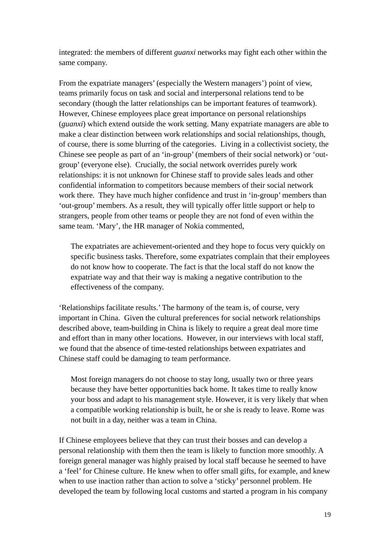integrated: the members of different *guanxi* networks may fight each other within the same company.

From the expatriate managers' (especially the Western managers') point of view, teams primarily focus on task and social and interpersonal relations tend to be secondary (though the latter relationships can be important features of teamwork). However, Chinese employees place great importance on personal relationships (*guanxi*) which extend outside the work setting. Many expatriate managers are able to make a clear distinction between work relationships and social relationships, though, of course, there is some blurring of the categories. Living in a collectivist society, the Chinese see people as part of an 'in-group' (members of their social network) or 'outgroup' (everyone else). Crucially, the social network overrides purely work relationships: it is not unknown for Chinese staff to provide sales leads and other confidential information to competitors because members of their social network work there. They have much higher confidence and trust in 'in-group' members than 'out-group' members. As a result, they will typically offer little support or help to strangers, people from other teams or people they are not fond of even within the same team. 'Mary', the HR manager of Nokia commented,

 The expatriates are achievement-oriented and they hope to focus very quickly on specific business tasks. Therefore, some expatriates complain that their employees do not know how to cooperate. The fact is that the local staff do not know the expatriate way and that their way is making a negative contribution to the effectiveness of the company.

'Relationships facilitate results.' The harmony of the team is, of course, very important in China. Given the cultural preferences for social network relationships described above, team-building in China is likely to require a great deal more time and effort than in many other locations. However, in our interviews with local staff, we found that the absence of time-tested relationships between expatriates and Chinese staff could be damaging to team performance.

 Most foreign managers do not choose to stay long, usually two or three years because they have better opportunities back home. It takes time to really know your boss and adapt to his management style. However, it is very likely that when a compatible working relationship is built, he or she is ready to leave. Rome was not built in a day, neither was a team in China.

If Chinese employees believe that they can trust their bosses and can develop a personal relationship with them then the team is likely to function more smoothly. A foreign general manager was highly praised by local staff because he seemed to have a 'feel' for Chinese culture. He knew when to offer small gifts, for example, and knew when to use inaction rather than action to solve a 'sticky' personnel problem. He developed the team by following local customs and started a program in his company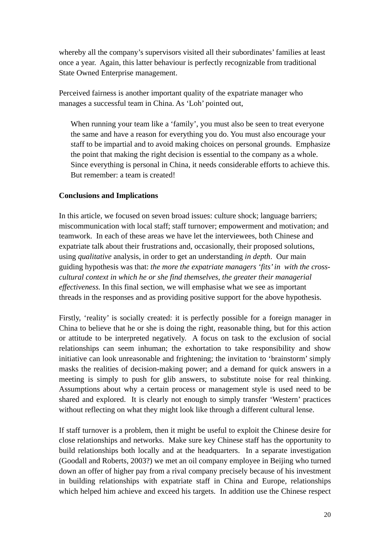whereby all the company's supervisors visited all their subordinates' families at least once a year. Again, this latter behaviour is perfectly recognizable from traditional State Owned Enterprise management.

Perceived fairness is another important quality of the expatriate manager who manages a successful team in China. As 'Loh' pointed out,

 When running your team like a 'family', you must also be seen to treat everyone the same and have a reason for everything you do. You must also encourage your staff to be impartial and to avoid making choices on personal grounds. Emphasize the point that making the right decision is essential to the company as a whole. Since everything is personal in China, it needs considerable efforts to achieve this. But remember: a team is created!

#### **Conclusions and Implications**

In this article, we focused on seven broad issues: culture shock; language barriers; miscommunication with local staff; staff turnover; empowerment and motivation; and teamwork. In each of these areas we have let the interviewees, both Chinese and expatriate talk about their frustrations and, occasionally, their proposed solutions, using *qualitative* analysis, in order to get an understanding *in depth*. Our main guiding hypothesis was that: *the more the expatriate managers 'fits' in with the crosscultural context in which he or she find themselves, the greater their managerial effectiveness.* In this final section, we will emphasise what we see as important threads in the responses and as providing positive support for the above hypothesis.

Firstly, 'reality' is socially created: it is perfectly possible for a foreign manager in China to believe that he or she is doing the right, reasonable thing, but for this action or attitude to be interpreted negatively. A focus on task to the exclusion of social relationships can seem inhuman; the exhortation to take responsibility and show initiative can look unreasonable and frightening; the invitation to 'brainstorm' simply masks the realities of decision-making power; and a demand for quick answers in a meeting is simply to push for glib answers, to substitute noise for real thinking. Assumptions about why a certain process or management style is used need to be shared and explored. It is clearly not enough to simply transfer 'Western' practices without reflecting on what they might look like through a different cultural lense.

If staff turnover is a problem, then it might be useful to exploit the Chinese desire for close relationships and networks. Make sure key Chinese staff has the opportunity to build relationships both locally and at the headquarters. In a separate investigation (Goodall and Roberts, 2003?) we met an oil company employee in Beijing who turned down an offer of higher pay from a rival company precisely because of his investment in building relationships with expatriate staff in China and Europe, relationships which helped him achieve and exceed his targets. In addition use the Chinese respect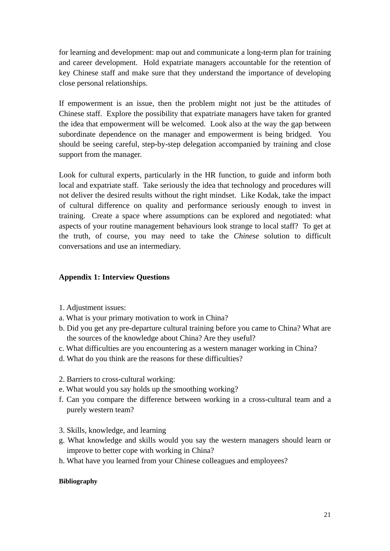for learning and development: map out and communicate a long-term plan for training and career development. Hold expatriate managers accountable for the retention of key Chinese staff and make sure that they understand the importance of developing close personal relationships.

If empowerment is an issue, then the problem might not just be the attitudes of Chinese staff. Explore the possibility that expatriate managers have taken for granted the idea that empowerment will be welcomed. Look also at the way the gap between subordinate dependence on the manager and empowerment is being bridged. You should be seeing careful, step-by-step delegation accompanied by training and close support from the manager.

Look for cultural experts, particularly in the HR function, to guide and inform both local and expatriate staff. Take seriously the idea that technology and procedures will not deliver the desired results without the right mindset. Like Kodak, take the impact of cultural difference on quality and performance seriously enough to invest in training. Create a space where assumptions can be explored and negotiated: what aspects of your routine management behaviours look strange to local staff? To get at the truth, of course, you may need to take the *Chinese* solution to difficult conversations and use an intermediary.

## **Appendix 1: Interview Questions**

- 1. Adjustment issues:
- a. What is your primary motivation to work in China?
- b. Did you get any pre-departure cultural training before you came to China? What are the sources of the knowledge about China? Are they useful?
- c. What difficulties are you encountering as a western manager working in China?
- d. What do you think are the reasons for these difficulties?
- 2. Barriers to cross-cultural working:
- e. What would you say holds up the smoothing working?
- f. Can you compare the difference between working in a cross-cultural team and a purely western team?
- 3. Skills, knowledge, and learning
- g. What knowledge and skills would you say the western managers should learn or improve to better cope with working in China?
- h. What have you learned from your Chinese colleagues and employees?

#### **Bibliography**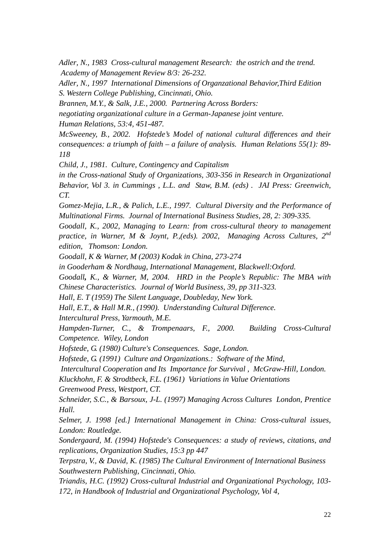*Adler, N., 1983 Cross-cultural management Research: the ostrich and the trend. Academy of Management Review 8/3: 26-232.*

*Adler, N., 1997 International Dimensions of Organzational Behavior,Third Edition S. Western College Publishing, Cincinnati, Ohio.*

*Brannen, M.Y., & Salk, J.E., 2000. Partnering Across Borders:* 

*negotiating organizational culture in a German-Japanese joint venture.* 

*Human Relations, 53:4, 451-487.* 

*McSweeney, B., 2002. Hofstede's Model of national cultural differences and their consequences: a triumph of faith – a failure of analysis. Human Relations 55(1): 89- 118* 

*Child, J., 1981. Culture, Contingency and Capitalism* 

*in the Cross-national Study of Organizations, 303-356 in Research in Organizational Behavior, Vol 3. in Cummings , L.L. and Staw, B.M. (eds) . JAI Press: Greenwich, CT.* 

*Gomez-Mejia, L.R., & Palich, L.E., 1997. Cultural Diversity and the Performance of Multinational Firms. Journal of International Business Studies, 28, 2: 309-335.* 

*Goodall, K., 2002, Managing to Learn: from cross-cultural theory to management practice, in Warner, M & Joynt, P.,(eds). 2002, Managing Across Cultures, 2nd edition, Thomson: London.* 

*Goodall, K & Warner, M (2003) Kodak in China, 273-274* 

*in Gooderham & Nordhaug, International Management, Blackwell:Oxford.* 

*Goodall, K., & Warner, M, 2004. HRD in the People's Republic: The MBA with Chinese Characteristics. Journal of World Business, 39, pp 311-323.* 

*Hall, E. T (1959) The Silent Language, Doubleday, New York.* 

*Hall, E.T., & Hall M.R., (1990). Understanding Cultural Difference.* 

*Intercultural Press, Yarmouth, M.E.* 

*Hampden-Turner, C., & Trompenaars, F., 2000. Building Cross-Cultural Competence. Wiley, London* 

*Hofstede, G. (1980) Culture's Consequences. Sage, London.* 

*Hofstede, G. (1991) Culture and Organizations.: Software of the Mind,* 

 *Intercultural Cooperation and Its Importance for Survival , McGraw-Hill, London.* 

*Kluckhohn, F. & Strodtbeck, F.L. (1961) Variations in Value Orientations Greenwood Press, Westport, CT.* 

*Schneider, S.C., & Barsoux, J-L. (1997) Managing Across Cultures London, Prentice Hall.* 

*Selmer, J. 1998 [ed.] International Management in China: Cross-cultural issues, London: Routledge.* 

*Sondergaard, M. (1994) Hofstede's Consequences: a study of reviews, citations, and replications, Organization Studies, 15:3 pp 447* 

*Terpstra, V., & David, K. (1985) The Cultural Environment of International Business Southwestern Publishing, Cincinnati, Ohio.* 

*Triandis, H.C. (1992) Cross-cultural Industrial and Organizational Psychology, 103- 172, in Handbook of Industrial and Organizational Psychology, Vol 4,*